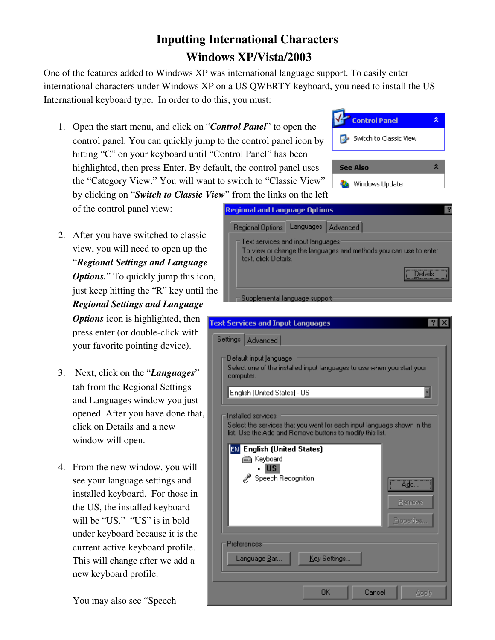## Inputting International Characters Windows XP/Vista/2003

One of the features added to Windows XP was international language support. To easily enter international characters under Windows XP on a US QWERTY keyboard, you need to install the US-International keyboard type. In order to do this, you must:

1. Open the start menu, and click on "*Control Panel*" to open the control panel. You can quickly jump to the control panel icon by hitting "C" on your keyboard until "Control Panel" has been highlighted, then press Enter. By default, the control panel uses the "Category View." You will want to switch to "Classic View" by clicking on "*Switch to Classic View*" from the links on the left

of the control panel view:

- 2. After you have switched to classic view, you will need to open up the "*Regional Settings and Language Options.*" To quickly jump this icon, just keep hitting the "R" key until the *Regional Settings and Language Options* icon is highlighted, then press enter (or double-click with your favorite pointing device).
- 3. Next, click on the "*Languages*" tab from the Regional Settings and Languages window you just opened. After you have done that, click on Details and a new window will open.
- 4. From the new window, you will see your language settings and installed keyboard. For those in the US, the installed keyboard will be "US." "US" is in bold under keyboard because it is the current active keyboard profile. This will change after we add a new keyboard profile.

You may also see "Speech



**Control Panel** 

Switch to Classic View

 $\hat{\mathbf{x}}$ 

F

To view or change the languages and methods you can use to enter text, click Details. Details.. Supplemental language suppor **Text Services and Input Languages**  $|?| \times$ Settings | Advanced |

Default input language Select one of the installed input languages to use when you start your computer.

English (United States) - US

Installed services Select the services that you want for each input language shown in the

| list. Use the Add and Remove buttons to modify this list.<br><b>English (United States)</b><br><b>EN</b><br>論<br>Keyboard<br><b>US</b><br>Speech Recognition | <u>Add</u><br><b>Remove</b><br>Properties |
|--------------------------------------------------------------------------------------------------------------------------------------------------------------|-------------------------------------------|
| <b>Preferences</b><br>Key Settings<br>Language Bar                                                                                                           |                                           |
| <b>OK</b><br>Cancel                                                                                                                                          | Annlı                                     |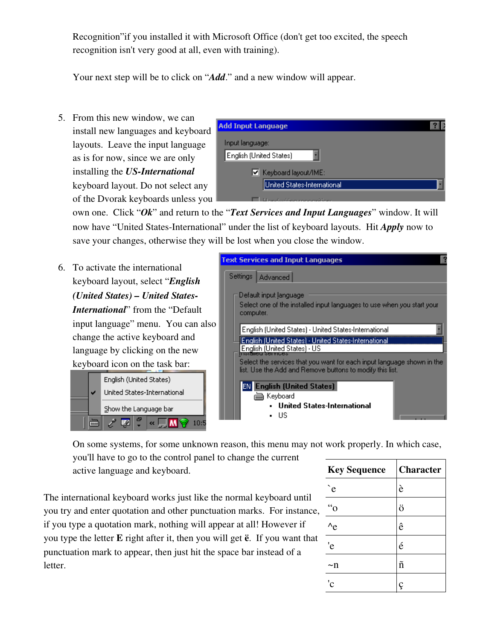Recognition"if you installed it with Microsoft Office (don't get too excited, the speech recognition isn't very good at all, even with training).

Your next step will be to click on "*Add*." and a new window will appear.

5. From this new window, we can install new languages and keyboard layouts. Leave the input language as is for now, since we are only installing the *US-International* keyboard layout. Do not select any of the Dvorak keyboards unless you

| <b>Add Input Language</b>   |  |
|-----------------------------|--|
| Input language:             |  |
| English (United States)     |  |
| ■ Keyboard layout/IME:      |  |
| United States-International |  |
| sedución concerdios         |  |

own one. Click "*Ok*" and return to the "*Text Services and Input Languages*" window. It will now have "United States-International" under the list of keyboard layouts. Hit *Apply* now to save your changes, otherwise they will be lost when you close the window.

6. To activate the international keyboard layout, select "*English (United States) – United States-International*" from the "Default input language" menu. You can also change the active keyboard and language by clicking on the new keyboard icon on the task bar:





On some systems, for some unknown reason, this menu may not work properly. In which case,

you'll have to go to the control panel to change the current active language and keyboard.

The international keyboard works just like the normal keyboard until you try and enter quotation and other punctuation marks. For instance, if you type a quotation mark, nothing will appear at all! However if you type the letter E right after it, then you will get ë. If you want that punctuation mark to appear, then just hit the space bar instead of a letter.

| <b>Key Sequence</b> | <b>Character</b> |
|---------------------|------------------|
| $\cdot$ e           | è                |
| $\mathfrak{g}$      | ö                |
| $^{\wedge}$ e       | ê                |
| 'e                  | é                |
| ∼n                  | ñ                |
| 'c                  |                  |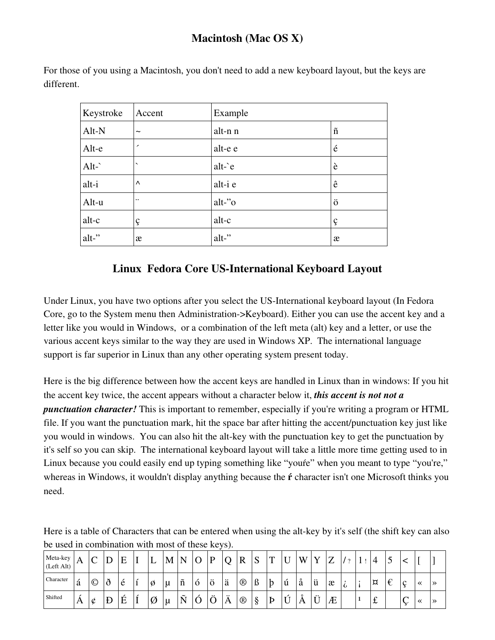## **Macintosh (Mac OS X)**

For those of you using a Macintosh, you don't need to add a new keyboard layout, but the keys are different.

| Keystroke     | Accent                   | Example |                   |
|---------------|--------------------------|---------|-------------------|
| Alt-N         | $\tilde{}$               | alt-n n | $\tilde{n}$       |
| Alt-e         | $\overline{\phantom{a}}$ | alt-e e | $\acute{\text e}$ |
| Alt- $\hat{}$ | $\checkmark$             | $alt$ e | è                 |
| alt-i         | $\wedge$                 | alt-i e | ê                 |
| Alt-u         | $\ddotsc$                | alt-"o  | ö                 |
| alt-c         | ç                        | alt-c   | ç                 |
| alt-"         | æ                        | alt-"   | æ                 |

## Linux Fedora Core US-International Keyboard Layout

Under Linux, you have two options after you select the US-International keyboard layout (In Fedora Core, go to the System menu then Administration->Keyboard). Either you can use the accent key and a letter like you would in Windows, or a combination of the left meta (alt) key and a letter, or use the various accent keys similar to the way they are used in Windows XP. The international language support is far superior in Linux than any other operating system present today.

Here is the big difference between how the accent keys are handled in Linux than in windows: If you hit the accent key twice, the accent appears without a character below it, this accent is not not a *punctuation character!* This is important to remember, especially if you're writing a program or HTML file. If you want the punctuation mark, hit the space bar after hitting the accent/punctuation key just like you would in windows. You can also hit the alt-key with the punctuation key to get the punctuation by it's self so you can skip. The international keyboard layout will take a little more time getting used to in Linux because you could easily end up typing something like "youre" when you meant to type "you're," whereas in Windows, it wouldn't display anything because the **f** character isn't one Microsoft thinks you need.

Here is a table of Characters that can be entered when using the alt-key by it's self (the shift key can also be used in combination with most of these keys).

| Meta-key<br>(Left Alt) | A | ⌒<br>╰         | ◡        | E |   | М | N               |         | D      |   | D<br>л         | $\sim$<br>N | m<br>-1 |   | W                       | $\mathbf{r}$ | $\overline{ }$ |            |   | ت |             |   |               |
|------------------------|---|----------------|----------|---|---|---|-----------------|---------|--------|---|----------------|-------------|---------|---|-------------------------|--------------|----------------|------------|---|---|-------------|---|---------------|
| Character              | á | $\circledcirc$ | $\delta$ | è | Ø | u | $\tilde{n}$     | $\circ$ | ö      | ä | $^\circledR$   | ß           | þ       | ù | $\circ$<br>a            | ü            | æ              | $\epsilon$ | ¤ | € | $\sim$<br>◡ | ≪ | $\rightarrow$ |
| Shifted                | A | ¢              | Đ        | É | Ø | μ | $\tilde{}$<br>Ñ |         | 六<br>◡ | Ä | $^{\circledR}$ | §           | Þ       | ◡ | $\circ$<br>$\mathbf{A}$ | ÷<br>ັ       | Æ              |            | £ |   | $\sqrt{2}$  | ⋘ | ≫             |